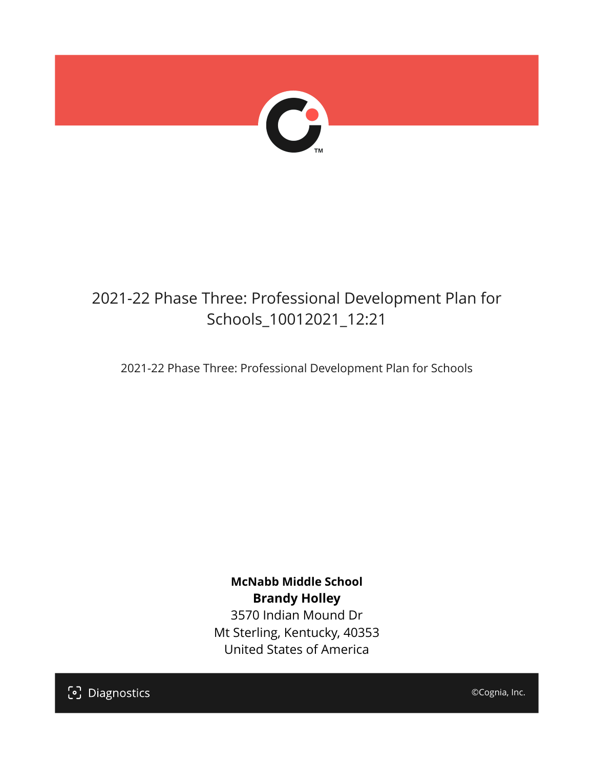

## 2021-22 Phase Three: Professional Development Plan for Schools\_10012021\_12:21

2021-22 Phase Three: Professional Development Plan for Schools

**McNabb Middle School Brandy Holley** 3570 Indian Mound Dr Mt Sterling, Kentucky, 40353 United States of America

[၁] Diagnostics

©Cognia, Inc.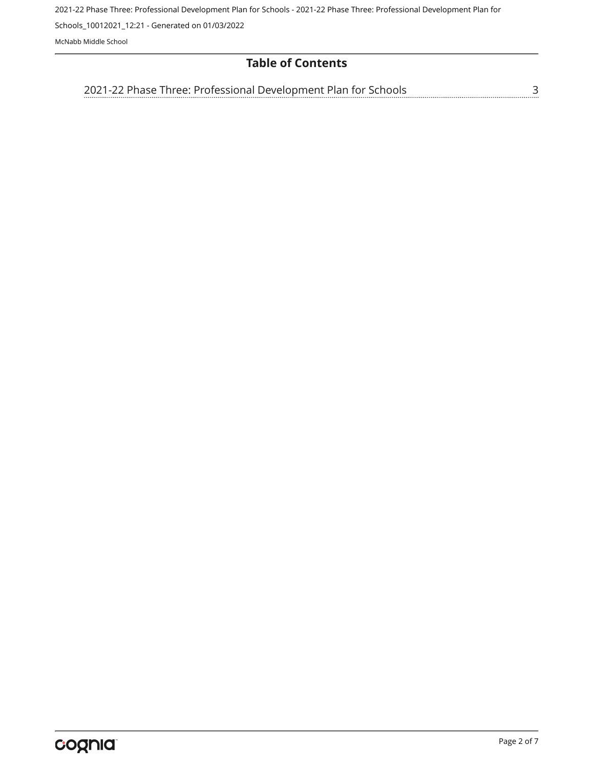2021-22 Phase Three: Professional Development Plan for Schools - 2021-22 Phase Three: Professional Development Plan for

Schools\_10012021\_12:21 - Generated on 01/03/2022

McNabb Middle School

## **Table of Contents**

[3](#page-2-0) [2021-22 Phase Three: Professional Development Plan for Schools](#page-2-0)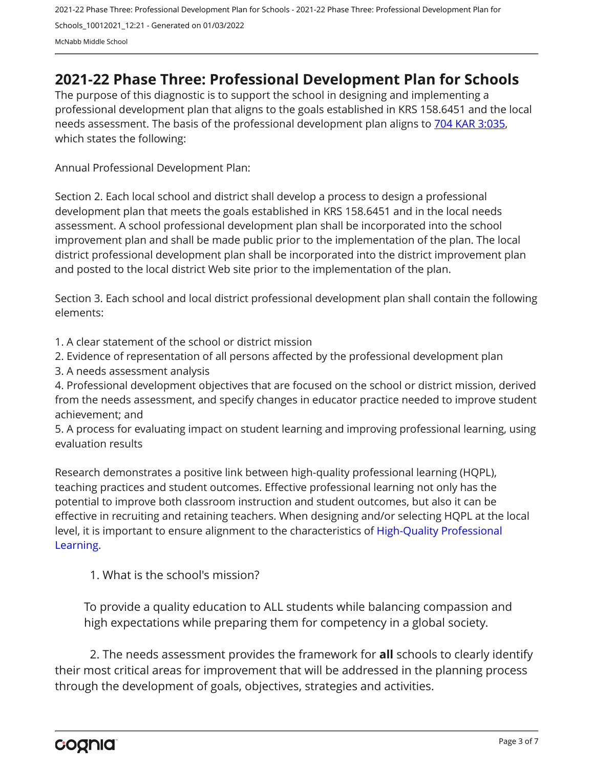## <span id="page-2-0"></span>**2021-22 Phase Three: Professional Development Plan for Schools**

The purpose of this diagnostic is to support the school in designing and implementing a professional development plan that aligns to the goals established in KRS 158.6451 and the local needs assessment. The basis of the professional development plan aligns to [704 KAR 3:035,](https://apps.legislature.ky.gov/Law/kar/704/003/035.pdf) which states the following:

Annual Professional Development Plan:

Section 2. Each local school and district shall develop a process to design a professional development plan that meets the goals established in KRS 158.6451 and in the local needs assessment. A school professional development plan shall be incorporated into the school improvement plan and shall be made public prior to the implementation of the plan. The local district professional development plan shall be incorporated into the district improvement plan and posted to the local district Web site prior to the implementation of the plan.

Section 3. Each school and local district professional development plan shall contain the following elements:

1. A clear statement of the school or district mission

2. Evidence of representation of all persons affected by the professional development plan

3. A needs assessment analysis

4. Professional development objectives that are focused on the school or district mission, derived from the needs assessment, and specify changes in educator practice needed to improve student achievement; and

5. A process for evaluating impact on student learning and improving professional learning, using evaluation results

Research demonstrates a positive link between high-quality professional learning (HQPL), teaching practices and student outcomes. Effective professional learning not only has the potential to improve both classroom instruction and student outcomes, but also it can be effective in recruiting and retaining teachers. When designing and/or selecting HQPL at the local level, it is important to ensure alignment to the characteristics of [High-Quality Professional](https://protect-us.mimecast.com/s/t_VKCmZ28lUj9ElyiG-gxw?domain=education.ky.gov)  [Learning](https://protect-us.mimecast.com/s/t_VKCmZ28lUj9ElyiG-gxw?domain=education.ky.gov).

1. What is the school's mission?

To provide a quality education to ALL students while balancing compassion and high expectations while preparing them for competency in a global society.

2. The needs assessment provides the framework for **all** schools to clearly identify their most critical areas for improvement that will be addressed in the planning process through the development of goals, objectives, strategies and activities.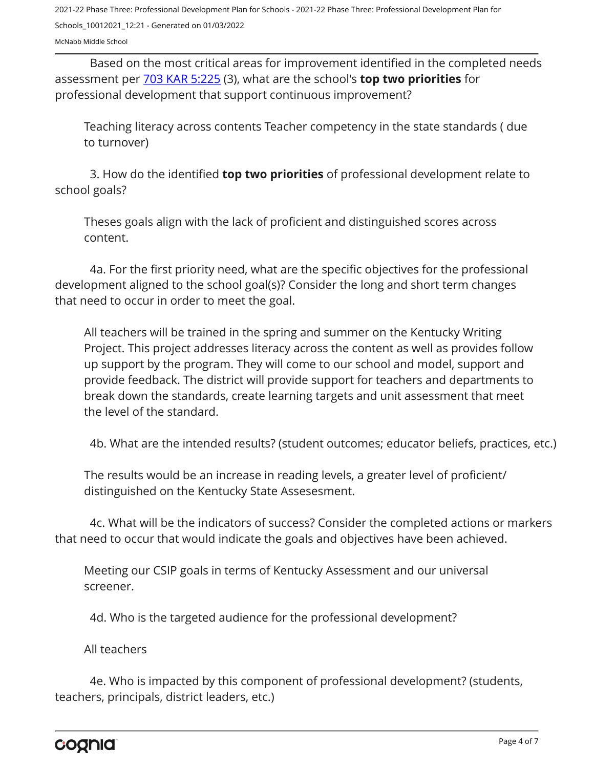Based on the most critical areas for improvement identified in the completed needs assessment per [703 KAR 5:225](https://apps.legislature.ky.gov/law/kar/703/005/225.pdf) (3), what are the school's **top two priorities** for professional development that support continuous improvement?

Teaching literacy across contents Teacher competency in the state standards ( due to turnover)

3. How do the identified **top two priorities** of professional development relate to school goals?

Theses goals align with the lack of proficient and distinguished scores across content.

4a. For the first priority need, what are the specific objectives for the professional development aligned to the school goal(s)? Consider the long and short term changes that need to occur in order to meet the goal.

All teachers will be trained in the spring and summer on the Kentucky Writing Project. This project addresses literacy across the content as well as provides follow up support by the program. They will come to our school and model, support and provide feedback. The district will provide support for teachers and departments to break down the standards, create learning targets and unit assessment that meet the level of the standard.

4b. What are the intended results? (student outcomes; educator beliefs, practices, etc.)

The results would be an increase in reading levels, a greater level of proficient/ distinguished on the Kentucky State Assesesment.

4c. What will be the indicators of success? Consider the completed actions or markers that need to occur that would indicate the goals and objectives have been achieved.

Meeting our CSIP goals in terms of Kentucky Assessment and our universal screener.

4d. Who is the targeted audience for the professional development?

All teachers

4e. Who is impacted by this component of professional development? (students, teachers, principals, district leaders, etc.)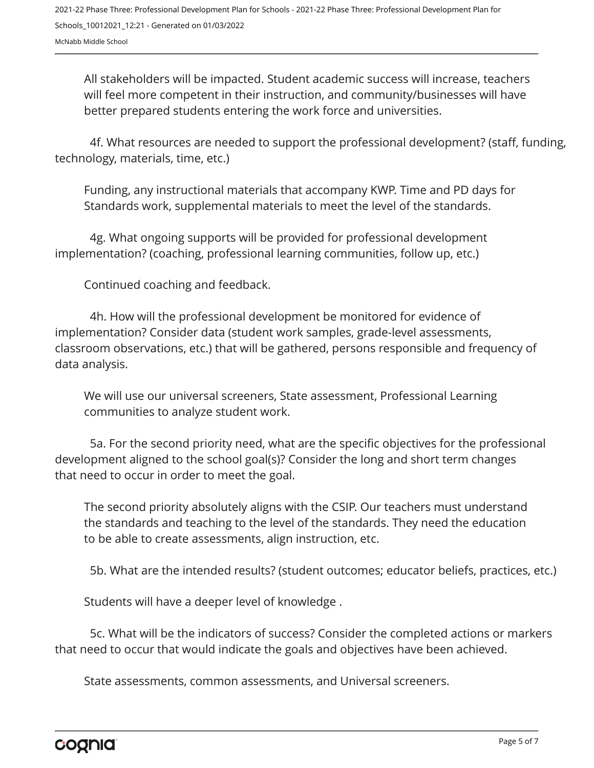All stakeholders will be impacted. Student academic success will increase, teachers will feel more competent in their instruction, and community/businesses will have better prepared students entering the work force and universities.

4f. What resources are needed to support the professional development? (staff, funding, technology, materials, time, etc.)

Funding, any instructional materials that accompany KWP. Time and PD days for Standards work, supplemental materials to meet the level of the standards.

4g. What ongoing supports will be provided for professional development implementation? (coaching, professional learning communities, follow up, etc.)

Continued coaching and feedback.

4h. How will the professional development be monitored for evidence of implementation? Consider data (student work samples, grade-level assessments, classroom observations, etc.) that will be gathered, persons responsible and frequency of data analysis.

We will use our universal screeners, State assessment, Professional Learning communities to analyze student work.

5a. For the second priority need, what are the specific objectives for the professional development aligned to the school goal(s)? Consider the long and short term changes that need to occur in order to meet the goal.

The second priority absolutely aligns with the CSIP. Our teachers must understand the standards and teaching to the level of the standards. They need the education to be able to create assessments, align instruction, etc.

5b. What are the intended results? (student outcomes; educator beliefs, practices, etc.)

Students will have a deeper level of knowledge .

5c. What will be the indicators of success? Consider the completed actions or markers that need to occur that would indicate the goals and objectives have been achieved.

State assessments, common assessments, and Universal screeners.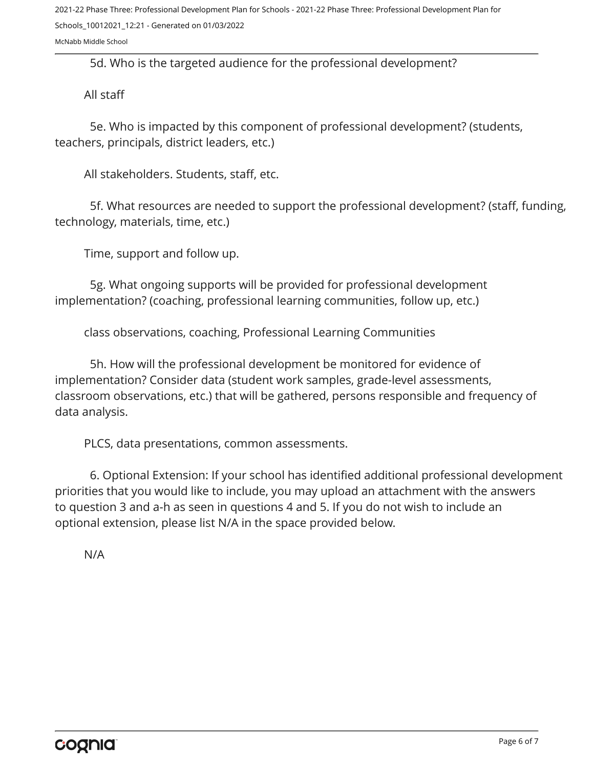5d. Who is the targeted audience for the professional development?

All staff

5e. Who is impacted by this component of professional development? (students, teachers, principals, district leaders, etc.)

All stakeholders. Students, staff, etc.

5f. What resources are needed to support the professional development? (staff, funding, technology, materials, time, etc.)

Time, support and follow up.

5g. What ongoing supports will be provided for professional development implementation? (coaching, professional learning communities, follow up, etc.)

class observations, coaching, Professional Learning Communities

5h. How will the professional development be monitored for evidence of implementation? Consider data (student work samples, grade-level assessments, classroom observations, etc.) that will be gathered, persons responsible and frequency of data analysis.

PLCS, data presentations, common assessments.

6. Optional Extension: If your school has identified additional professional development priorities that you would like to include, you may upload an attachment with the answers to question 3 and a-h as seen in questions 4 and 5. If you do not wish to include an optional extension, please list N/A in the space provided below.

N/A